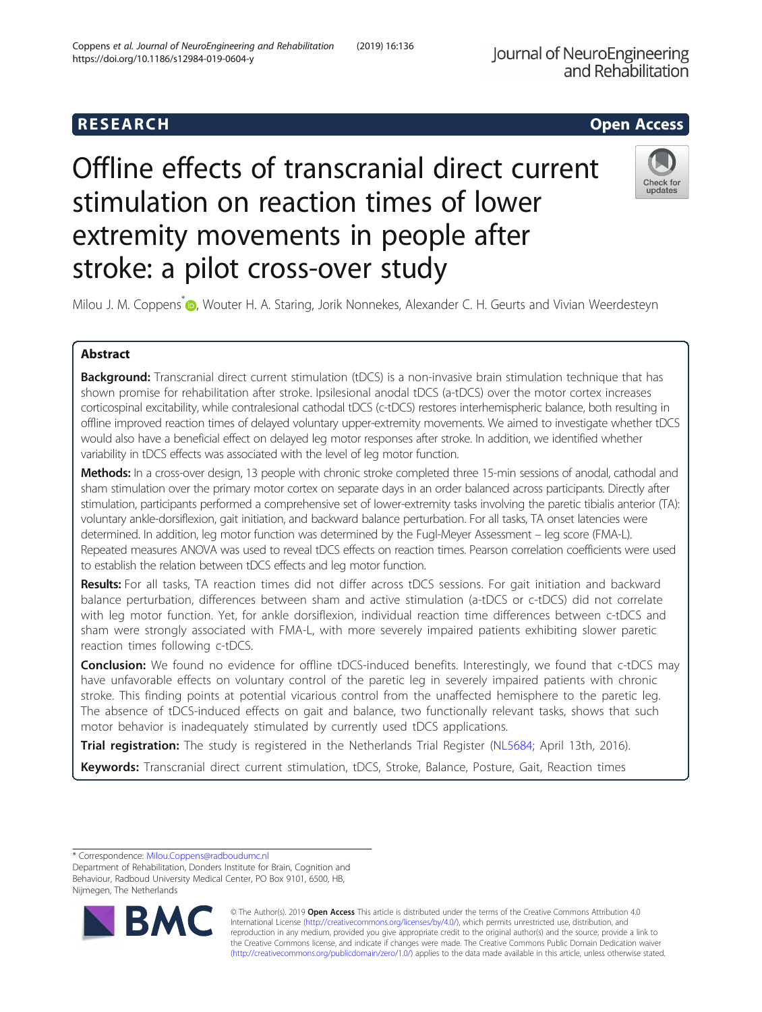# **RESEARCH CHEAR CHEAR CHEAR CHEAR CHEAR CHEAR CHEAR CHEAR CHEAR CHEAR CHEAR CHEAR CHEAR CHEAR CHEAR CHEAR CHEAR**

# Offline effects of transcranial direct current stimulation on reaction times of lower extremity movements in people after stroke: a pilot cross-over study



Milou J. M. Coppens<sup>\*</sup> <sub>(D</sub>[,](http://orcid.org/0000-0002-6115-5271) Wouter H. A. Staring, Jorik Nonnekes, Alexander C. H. Geurts and Vivian Weerdesteyn

# Abstract

Background: Transcranial direct current stimulation (tDCS) is a non-invasive brain stimulation technique that has shown promise for rehabilitation after stroke. Ipsilesional anodal tDCS (a-tDCS) over the motor cortex increases corticospinal excitability, while contralesional cathodal tDCS (c-tDCS) restores interhemispheric balance, both resulting in offline improved reaction times of delayed voluntary upper-extremity movements. We aimed to investigate whether tDCS would also have a beneficial effect on delayed leg motor responses after stroke. In addition, we identified whether variability in tDCS effects was associated with the level of leg motor function.

Methods: In a cross-over design, 13 people with chronic stroke completed three 15-min sessions of anodal, cathodal and sham stimulation over the primary motor cortex on separate days in an order balanced across participants. Directly after stimulation, participants performed a comprehensive set of lower-extremity tasks involving the paretic tibialis anterior (TA): voluntary ankle-dorsiflexion, gait initiation, and backward balance perturbation. For all tasks, TA onset latencies were determined. In addition, leg motor function was determined by the Fugl-Meyer Assessment – leg score (FMA-L). Repeated measures ANOVA was used to reveal tDCS effects on reaction times. Pearson correlation coefficients were used to establish the relation between tDCS effects and leg motor function.

Results: For all tasks, TA reaction times did not differ across tDCS sessions. For gait initiation and backward balance perturbation, differences between sham and active stimulation (a-tDCS or c-tDCS) did not correlate with leg motor function. Yet, for ankle dorsiflexion, individual reaction time differences between c-tDCS and sham were strongly associated with FMA-L, with more severely impaired patients exhibiting slower paretic reaction times following c-tDCS.

**Conclusion:** We found no evidence for offline tDCS-induced benefits. Interestingly, we found that c-tDCS may have unfavorable effects on voluntary control of the paretic leg in severely impaired patients with chronic stroke. This finding points at potential vicarious control from the unaffected hemisphere to the paretic leg. The absence of tDCS-induced effects on gait and balance, two functionally relevant tasks, shows that such motor behavior is inadequately stimulated by currently used tDCS applications.

Trial registration: The study is registered in the Netherlands Trial Register ([NL5684](https://www.trialregister.nl/trial/5684); April 13th, 2016).

Keywords: Transcranial direct current stimulation, tDCS, Stroke, Balance, Posture, Gait, Reaction times

\* Correspondence: [Milou.Coppens@radboudumc.nl](mailto:Milou.Coppens@radboudumc.nl)

Department of Rehabilitation, Donders Institute for Brain, Cognition and Behaviour, Radboud University Medical Center, PO Box 9101, 6500, HB, Nijmegen, The Netherlands



© The Author(s). 2019 **Open Access** This article is distributed under the terms of the Creative Commons Attribution 4.0 International License [\(http://creativecommons.org/licenses/by/4.0/](http://creativecommons.org/licenses/by/4.0/)), which permits unrestricted use, distribution, and reproduction in any medium, provided you give appropriate credit to the original author(s) and the source, provide a link to the Creative Commons license, and indicate if changes were made. The Creative Commons Public Domain Dedication waiver [\(http://creativecommons.org/publicdomain/zero/1.0/](http://creativecommons.org/publicdomain/zero/1.0/)) applies to the data made available in this article, unless otherwise stated.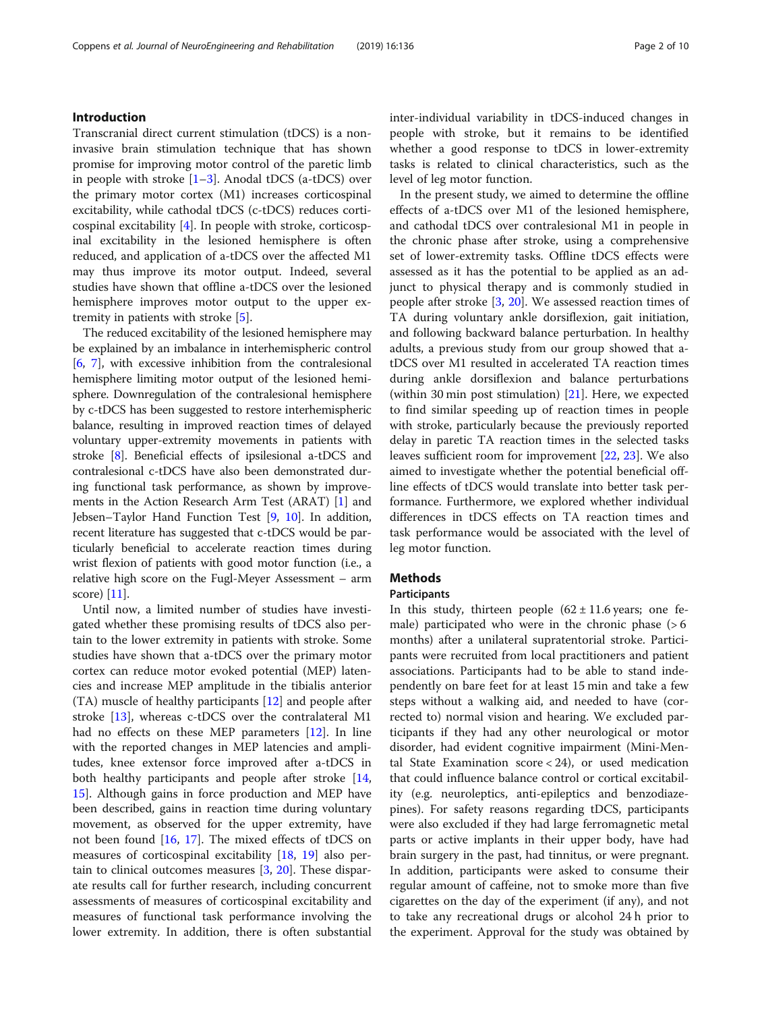# Introduction

Transcranial direct current stimulation (tDCS) is a noninvasive brain stimulation technique that has shown promise for improving motor control of the paretic limb in people with stroke [[1](#page-8-0)–[3\]](#page-8-0). Anodal tDCS (a-tDCS) over the primary motor cortex (M1) increases corticospinal excitability, while cathodal tDCS (c-tDCS) reduces corticospinal excitability [\[4](#page-8-0)]. In people with stroke, corticospinal excitability in the lesioned hemisphere is often reduced, and application of a-tDCS over the affected M1 may thus improve its motor output. Indeed, several studies have shown that offline a-tDCS over the lesioned hemisphere improves motor output to the upper extremity in patients with stroke [\[5](#page-8-0)].

The reduced excitability of the lesioned hemisphere may be explained by an imbalance in interhemispheric control [[6,](#page-8-0) [7](#page-8-0)], with excessive inhibition from the contralesional hemisphere limiting motor output of the lesioned hemisphere. Downregulation of the contralesional hemisphere by c-tDCS has been suggested to restore interhemispheric balance, resulting in improved reaction times of delayed voluntary upper-extremity movements in patients with stroke [[8](#page-8-0)]. Beneficial effects of ipsilesional a-tDCS and contralesional c-tDCS have also been demonstrated during functional task performance, as shown by improvements in the Action Research Arm Test (ARAT) [\[1](#page-8-0)] and Jebsen–Taylor Hand Function Test [\[9](#page-8-0), [10\]](#page-8-0). In addition, recent literature has suggested that c-tDCS would be particularly beneficial to accelerate reaction times during wrist flexion of patients with good motor function (i.e., a relative high score on the Fugl-Meyer Assessment – arm score) [\[11](#page-8-0)].

Until now, a limited number of studies have investigated whether these promising results of tDCS also pertain to the lower extremity in patients with stroke. Some studies have shown that a-tDCS over the primary motor cortex can reduce motor evoked potential (MEP) latencies and increase MEP amplitude in the tibialis anterior (TA) muscle of healthy participants [\[12](#page-8-0)] and people after stroke [\[13](#page-8-0)], whereas c-tDCS over the contralateral M1 had no effects on these MEP parameters [\[12\]](#page-8-0). In line with the reported changes in MEP latencies and amplitudes, knee extensor force improved after a-tDCS in both healthy participants and people after stroke [[14](#page-8-0), [15\]](#page-8-0). Although gains in force production and MEP have been described, gains in reaction time during voluntary movement, as observed for the upper extremity, have not been found [\[16](#page-8-0), [17](#page-8-0)]. The mixed effects of tDCS on measures of corticospinal excitability [[18,](#page-8-0) [19\]](#page-8-0) also pertain to clinical outcomes measures [[3,](#page-8-0) [20\]](#page-8-0). These disparate results call for further research, including concurrent assessments of measures of corticospinal excitability and measures of functional task performance involving the lower extremity. In addition, there is often substantial inter-individual variability in tDCS-induced changes in people with stroke, but it remains to be identified whether a good response to tDCS in lower-extremity tasks is related to clinical characteristics, such as the level of leg motor function.

In the present study, we aimed to determine the offline effects of a-tDCS over M1 of the lesioned hemisphere, and cathodal tDCS over contralesional M1 in people in the chronic phase after stroke, using a comprehensive set of lower-extremity tasks. Offline tDCS effects were assessed as it has the potential to be applied as an adjunct to physical therapy and is commonly studied in people after stroke [\[3](#page-8-0), [20](#page-8-0)]. We assessed reaction times of TA during voluntary ankle dorsiflexion, gait initiation, and following backward balance perturbation. In healthy adults, a previous study from our group showed that atDCS over M1 resulted in accelerated TA reaction times during ankle dorsiflexion and balance perturbations (within 30 min post stimulation) [\[21](#page-8-0)]. Here, we expected to find similar speeding up of reaction times in people with stroke, particularly because the previously reported delay in paretic TA reaction times in the selected tasks leaves sufficient room for improvement [\[22](#page-8-0), [23](#page-8-0)]. We also aimed to investigate whether the potential beneficial offline effects of tDCS would translate into better task performance. Furthermore, we explored whether individual differences in tDCS effects on TA reaction times and task performance would be associated with the level of leg motor function.

# **Methods**

# Participants

In this study, thirteen people  $(62 \pm 11.6)$  years; one female) participated who were in the chronic phase  $(> 6$ months) after a unilateral supratentorial stroke. Participants were recruited from local practitioners and patient associations. Participants had to be able to stand independently on bare feet for at least 15 min and take a few steps without a walking aid, and needed to have (corrected to) normal vision and hearing. We excluded participants if they had any other neurological or motor disorder, had evident cognitive impairment (Mini-Mental State Examination score  $<$  24), or used medication that could influence balance control or cortical excitability (e.g. neuroleptics, anti-epileptics and benzodiazepines). For safety reasons regarding tDCS, participants were also excluded if they had large ferromagnetic metal parts or active implants in their upper body, have had brain surgery in the past, had tinnitus, or were pregnant. In addition, participants were asked to consume their regular amount of caffeine, not to smoke more than five cigarettes on the day of the experiment (if any), and not to take any recreational drugs or alcohol 24 h prior to the experiment. Approval for the study was obtained by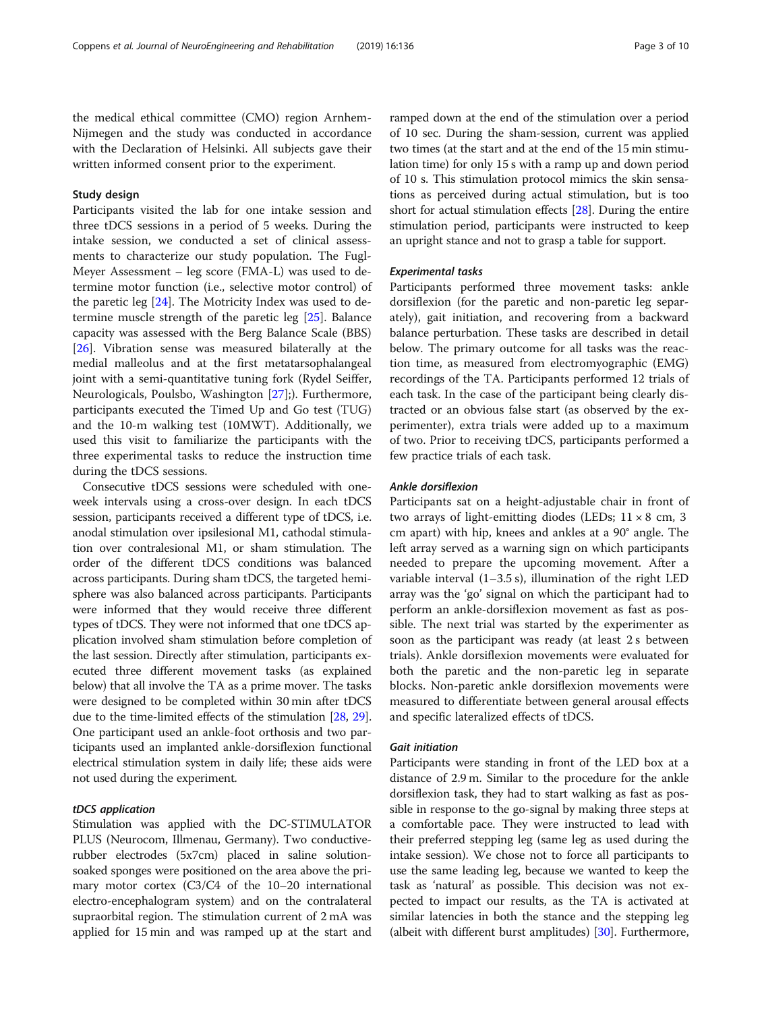the medical ethical committee (CMO) region Arnhem-Nijmegen and the study was conducted in accordance with the Declaration of Helsinki. All subjects gave their written informed consent prior to the experiment.

# Study design

Participants visited the lab for one intake session and three tDCS sessions in a period of 5 weeks. During the intake session, we conducted a set of clinical assessments to characterize our study population. The Fugl-Meyer Assessment – leg score (FMA-L) was used to determine motor function (i.e., selective motor control) of the paretic leg [\[24](#page-8-0)]. The Motricity Index was used to determine muscle strength of the paretic leg [\[25](#page-8-0)]. Balance capacity was assessed with the Berg Balance Scale (BBS) [[26\]](#page-8-0). Vibration sense was measured bilaterally at the medial malleolus and at the first metatarsophalangeal joint with a semi-quantitative tuning fork (Rydel Seiffer, Neurologicals, Poulsbo, Washington [[27](#page-8-0)];). Furthermore, participants executed the Timed Up and Go test (TUG) and the 10-m walking test (10MWT). Additionally, we used this visit to familiarize the participants with the three experimental tasks to reduce the instruction time during the tDCS sessions.

Consecutive tDCS sessions were scheduled with oneweek intervals using a cross-over design. In each tDCS session, participants received a different type of tDCS, i.e. anodal stimulation over ipsilesional M1, cathodal stimulation over contralesional M1, or sham stimulation. The order of the different tDCS conditions was balanced across participants. During sham tDCS, the targeted hemisphere was also balanced across participants. Participants were informed that they would receive three different types of tDCS. They were not informed that one tDCS application involved sham stimulation before completion of the last session. Directly after stimulation, participants executed three different movement tasks (as explained below) that all involve the TA as a prime mover. The tasks were designed to be completed within 30 min after tDCS due to the time-limited effects of the stimulation [[28](#page-8-0), [29](#page-8-0)]. One participant used an ankle-foot orthosis and two participants used an implanted ankle-dorsiflexion functional electrical stimulation system in daily life; these aids were not used during the experiment.

# tDCS application

Stimulation was applied with the DC-STIMULATOR PLUS (Neurocom, Illmenau, Germany). Two conductiverubber electrodes (5x7cm) placed in saline solutionsoaked sponges were positioned on the area above the primary motor cortex (C3/C4 of the 10–20 international electro-encephalogram system) and on the contralateral supraorbital region. The stimulation current of 2 mA was applied for 15 min and was ramped up at the start and ramped down at the end of the stimulation over a period of 10 sec. During the sham-session, current was applied two times (at the start and at the end of the 15 min stimulation time) for only 15 s with a ramp up and down period of 10 s. This stimulation protocol mimics the skin sensations as perceived during actual stimulation, but is too short for actual stimulation effects [\[28\]](#page-8-0). During the entire stimulation period, participants were instructed to keep an upright stance and not to grasp a table for support.

# Experimental tasks

Participants performed three movement tasks: ankle dorsiflexion (for the paretic and non-paretic leg separately), gait initiation, and recovering from a backward balance perturbation. These tasks are described in detail below. The primary outcome for all tasks was the reaction time, as measured from electromyographic (EMG) recordings of the TA. Participants performed 12 trials of each task. In the case of the participant being clearly distracted or an obvious false start (as observed by the experimenter), extra trials were added up to a maximum of two. Prior to receiving tDCS, participants performed a few practice trials of each task.

# Ankle dorsiflexion

Participants sat on a height-adjustable chair in front of two arrays of light-emitting diodes (LEDs;  $11 \times 8$  cm, 3 cm apart) with hip, knees and ankles at a 90° angle. The left array served as a warning sign on which participants needed to prepare the upcoming movement. After a variable interval (1–3.5 s), illumination of the right LED array was the 'go' signal on which the participant had to perform an ankle-dorsiflexion movement as fast as possible. The next trial was started by the experimenter as soon as the participant was ready (at least 2 s between trials). Ankle dorsiflexion movements were evaluated for both the paretic and the non-paretic leg in separate blocks. Non-paretic ankle dorsiflexion movements were measured to differentiate between general arousal effects and specific lateralized effects of tDCS.

## Gait initiation

Participants were standing in front of the LED box at a distance of 2.9 m. Similar to the procedure for the ankle dorsiflexion task, they had to start walking as fast as possible in response to the go-signal by making three steps at a comfortable pace. They were instructed to lead with their preferred stepping leg (same leg as used during the intake session). We chose not to force all participants to use the same leading leg, because we wanted to keep the task as 'natural' as possible. This decision was not expected to impact our results, as the TA is activated at similar latencies in both the stance and the stepping leg (albeit with different burst amplitudes) [\[30](#page-8-0)]. Furthermore,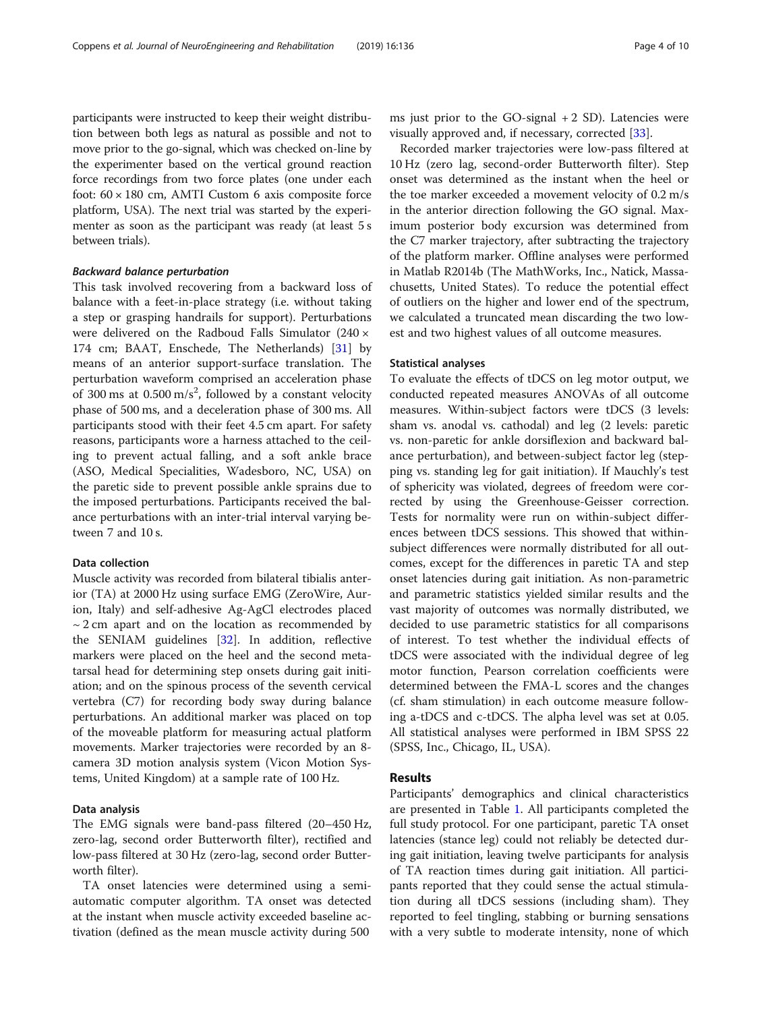participants were instructed to keep their weight distribution between both legs as natural as possible and not to move prior to the go-signal, which was checked on-line by the experimenter based on the vertical ground reaction force recordings from two force plates (one under each foot:  $60 \times 180$  cm, AMTI Custom 6 axis composite force platform, USA). The next trial was started by the experimenter as soon as the participant was ready (at least 5 s between trials).

# Backward balance perturbation

This task involved recovering from a backward loss of balance with a feet-in-place strategy (i.e. without taking a step or grasping handrails for support). Perturbations were delivered on the Radboud Falls Simulator (240 × 174 cm; BAAT, Enschede, The Netherlands) [\[31](#page-8-0)] by means of an anterior support-surface translation. The perturbation waveform comprised an acceleration phase of 300 ms at  $0.500 \text{ m/s}^2$ , followed by a constant velocity phase of 500 ms, and a deceleration phase of 300 ms. All participants stood with their feet 4.5 cm apart. For safety reasons, participants wore a harness attached to the ceiling to prevent actual falling, and a soft ankle brace (ASO, Medical Specialities, Wadesboro, NC, USA) on the paretic side to prevent possible ankle sprains due to the imposed perturbations. Participants received the balance perturbations with an inter-trial interval varying between 7 and 10 s.

# Data collection

Muscle activity was recorded from bilateral tibialis anterior (TA) at 2000 Hz using surface EMG (ZeroWire, Aurion, Italy) and self-adhesive Ag-AgCl electrodes placed  $\sim$  2 cm apart and on the location as recommended by the SENIAM guidelines [[32](#page-8-0)]. In addition, reflective markers were placed on the heel and the second metatarsal head for determining step onsets during gait initiation; and on the spinous process of the seventh cervical vertebra (C7) for recording body sway during balance perturbations. An additional marker was placed on top of the moveable platform for measuring actual platform movements. Marker trajectories were recorded by an 8 camera 3D motion analysis system (Vicon Motion Systems, United Kingdom) at a sample rate of 100 Hz.

# Data analysis

The EMG signals were band-pass filtered (20–450 Hz, zero-lag, second order Butterworth filter), rectified and low-pass filtered at 30 Hz (zero-lag, second order Butterworth filter).

TA onset latencies were determined using a semiautomatic computer algorithm. TA onset was detected at the instant when muscle activity exceeded baseline activation (defined as the mean muscle activity during 500

ms just prior to the  $GO-signal + 2 SD$ . Latencies were visually approved and, if necessary, corrected [\[33](#page-8-0)].

Recorded marker trajectories were low-pass filtered at 10 Hz (zero lag, second-order Butterworth filter). Step onset was determined as the instant when the heel or the toe marker exceeded a movement velocity of 0.2 m/s in the anterior direction following the GO signal. Maximum posterior body excursion was determined from the C7 marker trajectory, after subtracting the trajectory of the platform marker. Offline analyses were performed in Matlab R2014b (The MathWorks, Inc., Natick, Massachusetts, United States). To reduce the potential effect of outliers on the higher and lower end of the spectrum, we calculated a truncated mean discarding the two lowest and two highest values of all outcome measures.

# Statistical analyses

To evaluate the effects of tDCS on leg motor output, we conducted repeated measures ANOVAs of all outcome measures. Within-subject factors were tDCS (3 levels: sham vs. anodal vs. cathodal) and leg (2 levels: paretic vs. non-paretic for ankle dorsiflexion and backward balance perturbation), and between-subject factor leg (stepping vs. standing leg for gait initiation). If Mauchly's test of sphericity was violated, degrees of freedom were corrected by using the Greenhouse-Geisser correction. Tests for normality were run on within-subject differences between tDCS sessions. This showed that withinsubject differences were normally distributed for all outcomes, except for the differences in paretic TA and step onset latencies during gait initiation. As non-parametric and parametric statistics yielded similar results and the vast majority of outcomes was normally distributed, we decided to use parametric statistics for all comparisons of interest. To test whether the individual effects of tDCS were associated with the individual degree of leg motor function, Pearson correlation coefficients were determined between the FMA-L scores and the changes (cf. sham stimulation) in each outcome measure following a-tDCS and c-tDCS. The alpha level was set at 0.05. All statistical analyses were performed in IBM SPSS 22 (SPSS, Inc., Chicago, IL, USA).

# Results

Participants' demographics and clinical characteristics are presented in Table [1.](#page-4-0) All participants completed the full study protocol. For one participant, paretic TA onset latencies (stance leg) could not reliably be detected during gait initiation, leaving twelve participants for analysis of TA reaction times during gait initiation. All participants reported that they could sense the actual stimulation during all tDCS sessions (including sham). They reported to feel tingling, stabbing or burning sensations with a very subtle to moderate intensity, none of which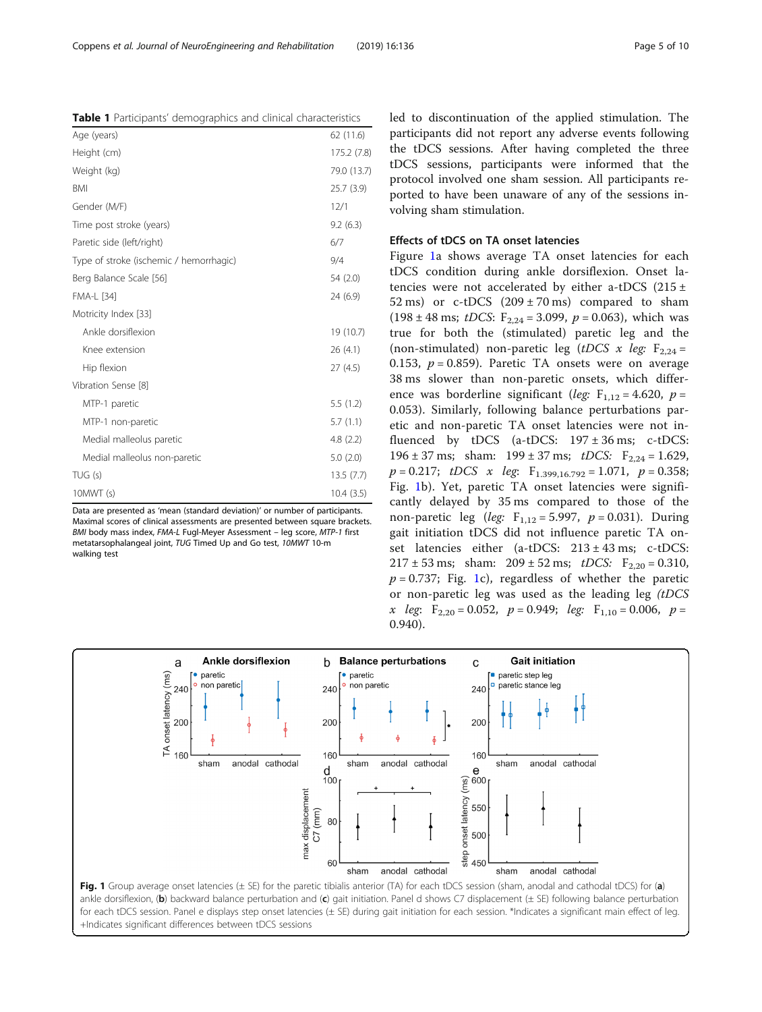Maximal scores of clinical assessments are presented between square brackets.

**Ankle dorsiflexion** 

anodal cathodal

led to discontinuation of the applied stimulation. The participants did not report any adverse events following the tDCS sessions. After having completed the three tDCS sessions, participants were informed that the protocol involved one sham session. All participants reported to have been unaware of any of the sessions involving sham stimulation.

# Effects of tDCS on TA onset latencies

Figure 1a shows average TA onset latencies for each tDCS condition during ankle dorsiflexion. Onset latencies were not accelerated by either a-tDCS (215 $\pm$ 52 ms) or c-tDCS  $(209 \pm 70 \text{ ms})$  compared to sham (198 ± 48 ms; *tDCS*:  $F_{2,24} = 3.099$ ,  $p = 0.063$ ), which was true for both the (stimulated) paretic leg and the (non-stimulated) non-paretic leg (tDCS x leg:  $F_{2,24}$  = 0.153,  $p = 0.859$ ). Paretic TA onsets were on average 38 ms slower than non-paretic onsets, which difference was borderline significant (leg:  $F_{1,12} = 4.620$ ,  $p =$ 0.053). Similarly, following balance perturbations paretic and non-paretic TA onset latencies were not influenced by tDCS (a-tDCS:  $197 \pm 36$  ms; c-tDCS: 196 ± 37 ms; sham:  $199 \pm 37$  ms;  $tDCS$ :  $F_{2,24} = 1.629$ ,  $p = 0.217$ ; tDCS x leg:  $F_{1.399,16.792} = 1.071$ ,  $p = 0.358$ ; Fig. 1b). Yet, paretic TA onset latencies were significantly delayed by 35 ms compared to those of the non-paretic leg (leg:  $F_{1,12} = 5.997$ ,  $p = 0.031$ ). During gait initiation tDCS did not influence paretic TA onset latencies either (a-tDCS: 213 ± 43 ms; c-tDCS:  $217 \pm 53$  ms; sham:  $209 \pm 52$  ms;  $tDCS$ :  $F_{2,20} = 0.310$ ,  $p = 0.737$ ; Fig. 1c), regardless of whether the paretic or non-paretic leg was used as the leading leg (tDCS x leg:  $F_{2,20} = 0.052$ ,  $p = 0.949$ ; leg:  $F_{1,10} = 0.006$ ,  $p =$ 0.940).

**Gait initiation** 

anodal cathodal

paretic step leg

paretic stance led

 $\mathbf c$ 

240

 $200$ 

160

 $\boldsymbol{\mathsf{e}}$  $\frac{6}{5}$  600 sham



**Balance perturbations** 

anodal cathodal

paretic

sham

non paretio

 $\mathsf{h}$ 

 $240$ 

200

160

d

 $100$ 

<span id="page-4-0"></span>

| Age (years)                             | 62(11.6)    |
|-----------------------------------------|-------------|
| Height (cm)                             | 175.2 (7.8) |
| Weight (kg)                             | 79.0 (13.7) |
| <b>BMI</b>                              | 25.7(3.9)   |
| Gender (M/F)                            | 12/1        |
| Time post stroke (years)                | 9.2(6.3)    |
| Paretic side (left/right)               | 6/7         |
| Type of stroke (ischemic / hemorrhagic) | 9/4         |
| Berg Balance Scale [56]                 | 54 (2.0)    |
| <b>FMA-L [34]</b>                       | 24 (6.9)    |
| Motricity Index [33]                    |             |
| Ankle dorsiflexion                      | 19 (10.7)   |
| Knee extension                          | 26(4.1)     |
| Hip flexion                             | 27(4.5)     |
| Vibration Sense [8]                     |             |
| MTP-1 paretic                           | 5.5(1.2)    |
| MTP-1 non-paretic                       | 5.7(1.1)    |
| Medial malleolus paretic                | 4.8(2.2)    |
| Medial malleolus non-paretic            | 5.0(2.0)    |
| TUG(s)                                  | 13.5(7.7)   |
| 10MWT(s)                                | 10.4(3.5)   |

Data are presented as 'mean (standard deviation)' or number of participants. BMI body mass index, FMA-L Fugl-Meyer Assessment – leg score, MTP-1 first metatarsophalangeal joint, TUG Timed Up and Go test, 10MWT 10-m walking test

paretic

sham

non paretio

a

240

200

160

TA onset latency (ms)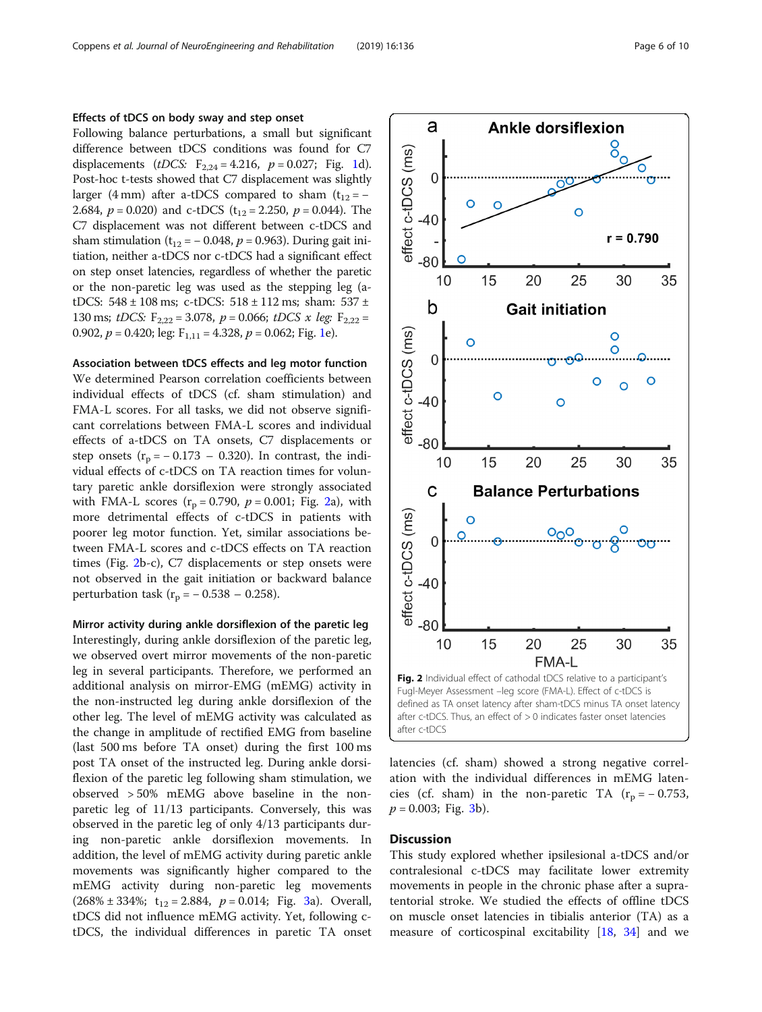# Effects of tDCS on body sway and step onset

Following balance perturbations, a small but significant difference between tDCS conditions was found for C7 displacements (*tDCS*:  $F_{2,24} = 4.216$  $F_{2,24} = 4.216$  $F_{2,24} = 4.216$ ,  $p = 0.027$ ; Fig. 1d). Post-hoc t-tests showed that C7 displacement was slightly larger (4 mm) after a-tDCS compared to sham  $(t_{12} = -$ 2.684,  $p = 0.020$ ) and c-tDCS (t<sub>12</sub> = 2.250,  $p = 0.044$ ). The C7 displacement was not different between c-tDCS and sham stimulation ( $t_{12} = -0.048$ ,  $p = 0.963$ ). During gait initiation, neither a-tDCS nor c-tDCS had a significant effect on step onset latencies, regardless of whether the paretic or the non-paretic leg was used as the stepping leg (atDCS:  $548 \pm 108$  ms; c-tDCS:  $518 \pm 112$  ms; sham:  $537 \pm 12$ 130 ms; tDCS:  $F_{2,22} = 3.078$ ,  $p = 0.066$ ; tDCS x leg:  $F_{2,22} =$ 0.902,  $p = 0.420$ ; leg:  $F_{1,11} = 4.328$  $F_{1,11} = 4.328$  $F_{1,11} = 4.328$ ,  $p = 0.062$ ; Fig. 1e).

# Association between tDCS effects and leg motor function

We determined Pearson correlation coefficients between individual effects of tDCS (cf. sham stimulation) and FMA-L scores. For all tasks, we did not observe significant correlations between FMA-L scores and individual effects of a-tDCS on TA onsets, C7 displacements or step onsets  $(r_p = -0.173 - 0.320)$ . In contrast, the individual effects of c-tDCS on TA reaction times for voluntary paretic ankle dorsiflexion were strongly associated with FMA-L scores  $(r_p = 0.790, p = 0.001;$  Fig. 2a), with more detrimental effects of c-tDCS in patients with poorer leg motor function. Yet, similar associations between FMA-L scores and c-tDCS effects on TA reaction times (Fig. 2b-c), C7 displacements or step onsets were not observed in the gait initiation or backward balance perturbation task ( $r_p = -0.538 - 0.258$ ).

Mirror activity during ankle dorsiflexion of the paretic leg Interestingly, during ankle dorsiflexion of the paretic leg, we observed overt mirror movements of the non-paretic leg in several participants. Therefore, we performed an additional analysis on mirror-EMG (mEMG) activity in the non-instructed leg during ankle dorsiflexion of the other leg. The level of mEMG activity was calculated as the change in amplitude of rectified EMG from baseline (last 500 ms before TA onset) during the first 100 ms post TA onset of the instructed leg. During ankle dorsiflexion of the paretic leg following sham stimulation, we observed > 50% mEMG above baseline in the nonparetic leg of 11/13 participants. Conversely, this was observed in the paretic leg of only 4/13 participants during non-paretic ankle dorsiflexion movements. In addition, the level of mEMG activity during paretic ankle movements was significantly higher compared to the mEMG activity during non-paretic leg movements  $(268\% \pm 334\%; t_{12} = 2.884, p = 0.014; Fig. 3a)$  $(268\% \pm 334\%; t_{12} = 2.884, p = 0.014; Fig. 3a)$  $(268\% \pm 334\%; t_{12} = 2.884, p = 0.014; Fig. 3a)$ . Overall, tDCS did not influence mEMG activity. Yet, following ctDCS, the individual differences in paretic TA onset



latencies (cf. sham) showed a strong negative correlation with the individual differences in mEMG latencies (cf. sham) in the non-paretic TA ( $r_p = -0.753$ ,  $p = 0.003$ ; Fig. [3b](#page-6-0)).

# **Discussion**

This study explored whether ipsilesional a-tDCS and/or contralesional c-tDCS may facilitate lower extremity movements in people in the chronic phase after a supratentorial stroke. We studied the effects of offline tDCS on muscle onset latencies in tibialis anterior (TA) as a measure of corticospinal excitability [[18,](#page-8-0) [34](#page-8-0)] and we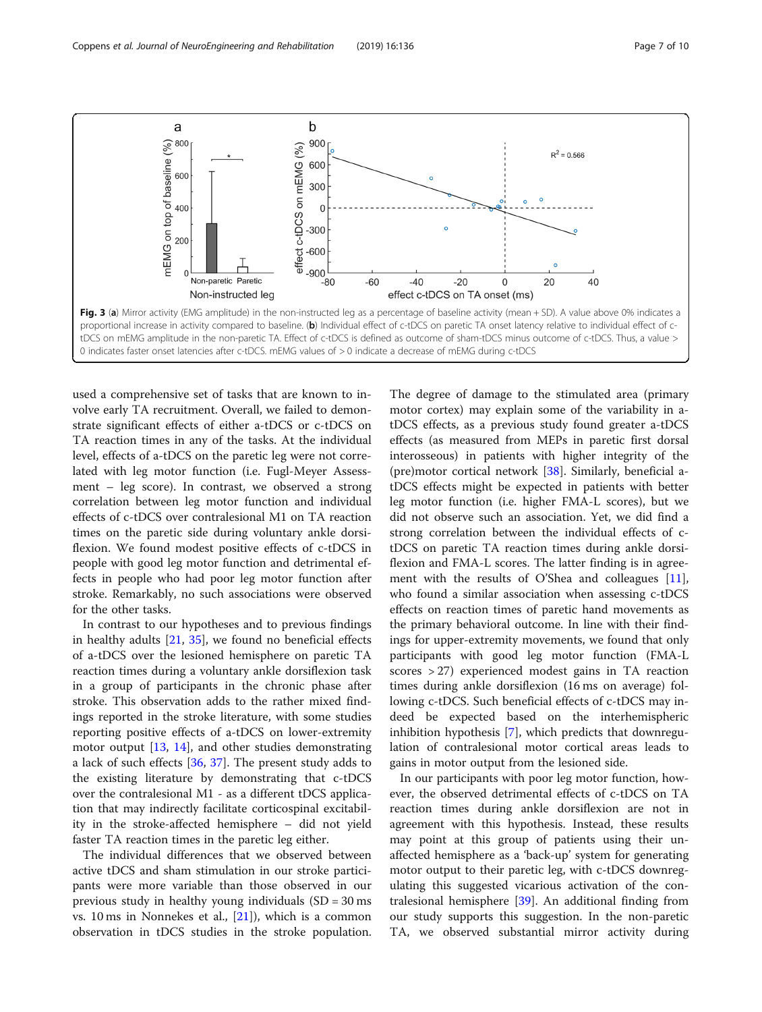<span id="page-6-0"></span>

used a comprehensive set of tasks that are known to involve early TA recruitment. Overall, we failed to demonstrate significant effects of either a-tDCS or c-tDCS on TA reaction times in any of the tasks. At the individual level, effects of a-tDCS on the paretic leg were not correlated with leg motor function (i.e. Fugl-Meyer Assessment – leg score). In contrast, we observed a strong correlation between leg motor function and individual effects of c-tDCS over contralesional M1 on TA reaction times on the paretic side during voluntary ankle dorsiflexion. We found modest positive effects of c-tDCS in people with good leg motor function and detrimental effects in people who had poor leg motor function after stroke. Remarkably, no such associations were observed for the other tasks.

In contrast to our hypotheses and to previous findings in healthy adults [\[21](#page-8-0), [35\]](#page-8-0), we found no beneficial effects of a-tDCS over the lesioned hemisphere on paretic TA reaction times during a voluntary ankle dorsiflexion task in a group of participants in the chronic phase after stroke. This observation adds to the rather mixed findings reported in the stroke literature, with some studies reporting positive effects of a-tDCS on lower-extremity motor output [\[13,](#page-8-0) [14\]](#page-8-0), and other studies demonstrating a lack of such effects [\[36,](#page-9-0) [37](#page-9-0)]. The present study adds to the existing literature by demonstrating that c-tDCS over the contralesional M1 - as a different tDCS application that may indirectly facilitate corticospinal excitability in the stroke-affected hemisphere – did not yield faster TA reaction times in the paretic leg either.

The individual differences that we observed between active tDCS and sham stimulation in our stroke participants were more variable than those observed in our previous study in healthy young individuals  $(SD = 30 \text{ ms})$ vs. 10 ms in Nonnekes et al., [\[21\]](#page-8-0)), which is a common observation in tDCS studies in the stroke population.

The degree of damage to the stimulated area (primary motor cortex) may explain some of the variability in atDCS effects, as a previous study found greater a-tDCS effects (as measured from MEPs in paretic first dorsal interosseous) in patients with higher integrity of the (pre)motor cortical network [[38](#page-9-0)]. Similarly, beneficial atDCS effects might be expected in patients with better leg motor function (i.e. higher FMA-L scores), but we did not observe such an association. Yet, we did find a strong correlation between the individual effects of ctDCS on paretic TA reaction times during ankle dorsiflexion and FMA-L scores. The latter finding is in agree-ment with the results of O'Shea and colleagues [\[11](#page-8-0)], who found a similar association when assessing c-tDCS effects on reaction times of paretic hand movements as the primary behavioral outcome. In line with their findings for upper-extremity movements, we found that only participants with good leg motor function (FMA-L scores > 27) experienced modest gains in TA reaction times during ankle dorsiflexion (16 ms on average) following c-tDCS. Such beneficial effects of c-tDCS may indeed be expected based on the interhemispheric inhibition hypothesis [[7](#page-8-0)], which predicts that downregulation of contralesional motor cortical areas leads to gains in motor output from the lesioned side.

In our participants with poor leg motor function, however, the observed detrimental effects of c-tDCS on TA reaction times during ankle dorsiflexion are not in agreement with this hypothesis. Instead, these results may point at this group of patients using their unaffected hemisphere as a 'back-up' system for generating motor output to their paretic leg, with c-tDCS downregulating this suggested vicarious activation of the contralesional hemisphere [\[39](#page-9-0)]. An additional finding from our study supports this suggestion. In the non-paretic TA, we observed substantial mirror activity during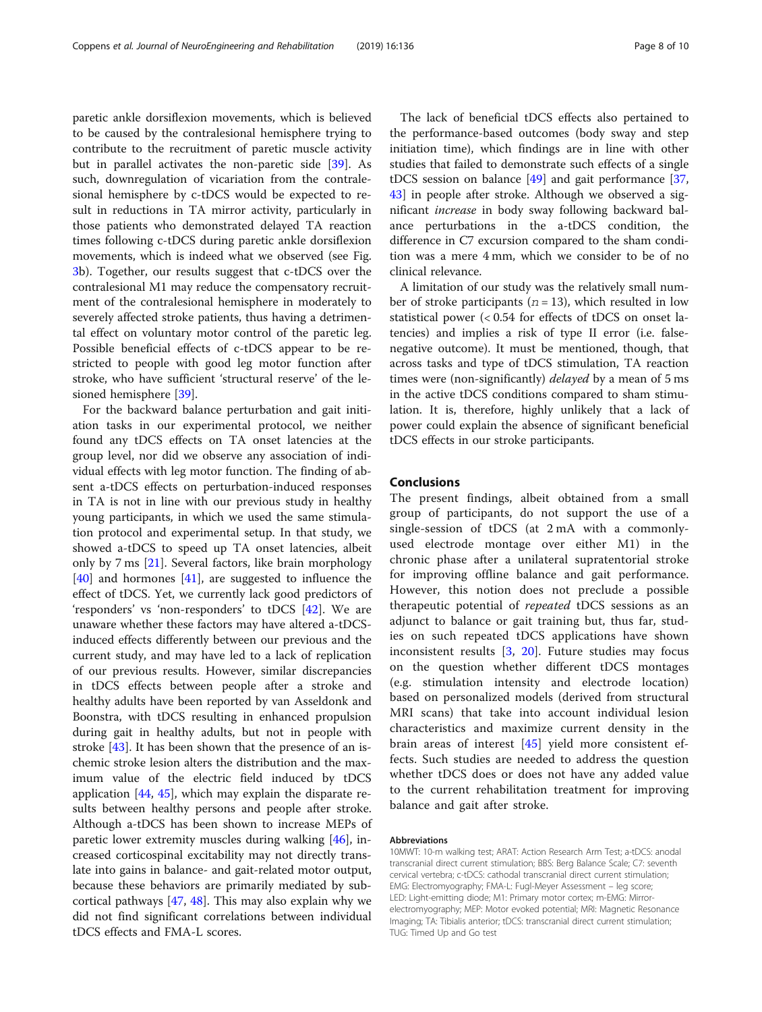paretic ankle dorsiflexion movements, which is believed to be caused by the contralesional hemisphere trying to contribute to the recruitment of paretic muscle activity but in parallel activates the non-paretic side [\[39](#page-9-0)]. As such, downregulation of vicariation from the contralesional hemisphere by c-tDCS would be expected to result in reductions in TA mirror activity, particularly in those patients who demonstrated delayed TA reaction times following c-tDCS during paretic ankle dorsiflexion movements, which is indeed what we observed (see Fig. [3b](#page-6-0)). Together, our results suggest that c-tDCS over the contralesional M1 may reduce the compensatory recruitment of the contralesional hemisphere in moderately to severely affected stroke patients, thus having a detrimental effect on voluntary motor control of the paretic leg. Possible beneficial effects of c-tDCS appear to be restricted to people with good leg motor function after stroke, who have sufficient 'structural reserve' of the lesioned hemisphere [\[39](#page-9-0)].

For the backward balance perturbation and gait initiation tasks in our experimental protocol, we neither found any tDCS effects on TA onset latencies at the group level, nor did we observe any association of individual effects with leg motor function. The finding of absent a-tDCS effects on perturbation-induced responses in TA is not in line with our previous study in healthy young participants, in which we used the same stimulation protocol and experimental setup. In that study, we showed a-tDCS to speed up TA onset latencies, albeit only by 7 ms [[21](#page-8-0)]. Several factors, like brain morphology [[40\]](#page-9-0) and hormones [\[41](#page-9-0)], are suggested to influence the effect of tDCS. Yet, we currently lack good predictors of 'responders' vs 'non-responders' to tDCS [[42\]](#page-9-0). We are unaware whether these factors may have altered a-tDCSinduced effects differently between our previous and the current study, and may have led to a lack of replication of our previous results. However, similar discrepancies in tDCS effects between people after a stroke and healthy adults have been reported by van Asseldonk and Boonstra, with tDCS resulting in enhanced propulsion during gait in healthy adults, but not in people with stroke [[43\]](#page-9-0). It has been shown that the presence of an ischemic stroke lesion alters the distribution and the maximum value of the electric field induced by tDCS application [\[44,](#page-9-0) [45](#page-9-0)], which may explain the disparate results between healthy persons and people after stroke. Although a-tDCS has been shown to increase MEPs of paretic lower extremity muscles during walking [\[46](#page-9-0)], increased corticospinal excitability may not directly translate into gains in balance- and gait-related motor output, because these behaviors are primarily mediated by subcortical pathways [[47,](#page-9-0) [48\]](#page-9-0). This may also explain why we did not find significant correlations between individual tDCS effects and FMA-L scores.

The lack of beneficial tDCS effects also pertained to the performance-based outcomes (body sway and step initiation time), which findings are in line with other studies that failed to demonstrate such effects of a single tDCS session on balance [\[49](#page-9-0)] and gait performance [[37](#page-9-0), [43\]](#page-9-0) in people after stroke. Although we observed a significant increase in body sway following backward balance perturbations in the a-tDCS condition, the difference in C7 excursion compared to the sham condition was a mere 4 mm, which we consider to be of no clinical relevance.

A limitation of our study was the relatively small number of stroke participants ( $n = 13$ ), which resulted in low statistical power (< 0.54 for effects of tDCS on onset latencies) and implies a risk of type II error (i.e. falsenegative outcome). It must be mentioned, though, that across tasks and type of tDCS stimulation, TA reaction times were (non-significantly) *delayed* by a mean of 5 ms in the active tDCS conditions compared to sham stimulation. It is, therefore, highly unlikely that a lack of power could explain the absence of significant beneficial tDCS effects in our stroke participants.

# Conclusions

The present findings, albeit obtained from a small group of participants, do not support the use of a single-session of tDCS (at 2 mA with a commonlyused electrode montage over either M1) in the chronic phase after a unilateral supratentorial stroke for improving offline balance and gait performance. However, this notion does not preclude a possible therapeutic potential of repeated tDCS sessions as an adjunct to balance or gait training but, thus far, studies on such repeated tDCS applications have shown inconsistent results [\[3,](#page-8-0) [20\]](#page-8-0). Future studies may focus on the question whether different tDCS montages (e.g. stimulation intensity and electrode location) based on personalized models (derived from structural MRI scans) that take into account individual lesion characteristics and maximize current density in the brain areas of interest [[45](#page-9-0)] yield more consistent effects. Such studies are needed to address the question whether tDCS does or does not have any added value to the current rehabilitation treatment for improving balance and gait after stroke.

#### Abbreviations

10MWT: 10-m walking test; ARAT: Action Research Arm Test; a-tDCS: anodal transcranial direct current stimulation; BBS: Berg Balance Scale; C7: seventh cervical vertebra; c-tDCS: cathodal transcranial direct current stimulation; EMG: Electromyography; FMA-L: Fugl-Meyer Assessment – leg score; LED: Light-emitting diode; M1: Primary motor cortex; m-EMG: Mirrorelectromyography; MEP: Motor evoked potential; MRI: Magnetic Resonance Imaging; TA: Tibialis anterior; tDCS: transcranial direct current stimulation; TUG: Timed Up and Go test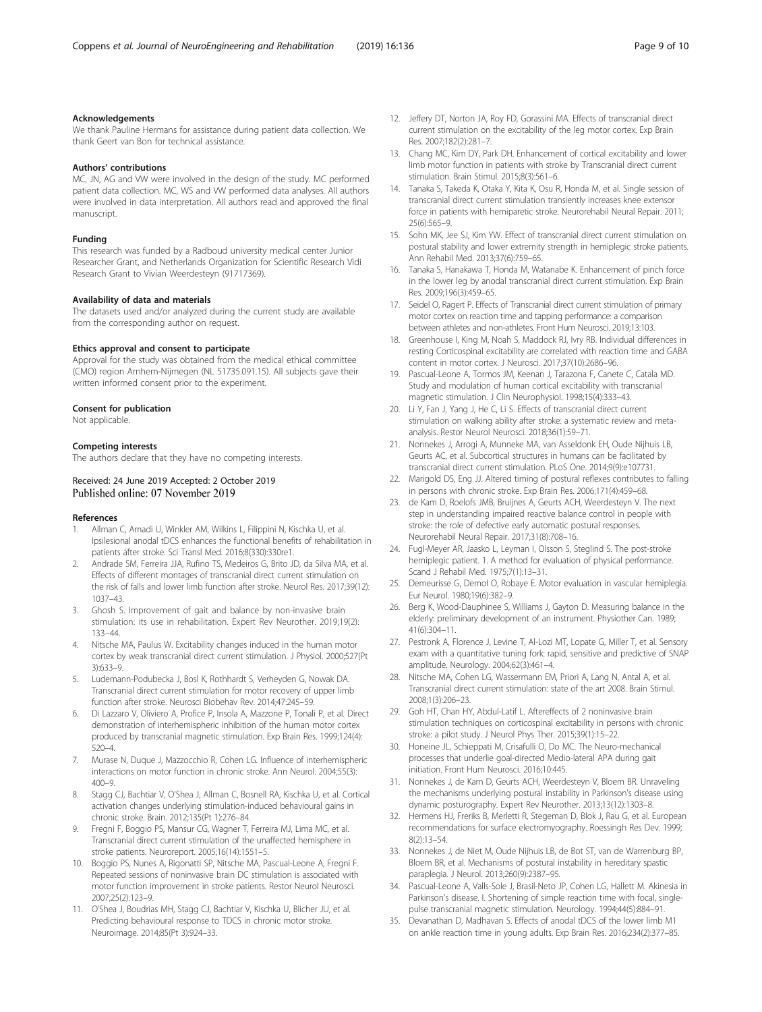# <span id="page-8-0"></span>Acknowledgements

We thank Pauline Hermans for assistance during patient data collection. We thank Geert van Bon for technical assistance.

# Authors' contributions

MC, JN, AG and VW were involved in the design of the study. MC performed patient data collection. MC, WS and VW performed data analyses. All authors were involved in data interpretation. All authors read and approved the final manuscript.

#### Funding

This research was funded by a Radboud university medical center Junior Researcher Grant, and Netherlands Organization for Scientific Research Vidi Research Grant to Vivian Weerdesteyn (91717369).

# Availability of data and materials

The datasets used and/or analyzed during the current study are available from the corresponding author on request.

## Ethics approval and consent to participate

Approval for the study was obtained from the medical ethical committee (CMO) region Arnhem-Nijmegen (NL 51735.091.15). All subjects gave their written informed consent prior to the experiment.

#### Consent for publication

Not applicable.

# Competing interests

The authors declare that they have no competing interests.

# Received: 24 June 2019 Accepted: 2 October 2019 Published online: 07 November 2019

#### References

- 1. Allman C, Amadi U, Winkler AM, Wilkins L, Filippini N, Kischka U, et al. Ipsilesional anodal tDCS enhances the functional benefits of rehabilitation in patients after stroke. Sci Transl Med. 2016;8(330):330re1.
- 2. Andrade SM, Ferreira JJA, Rufino TS, Medeiros G, Brito JD, da Silva MA, et al. Effects of different montages of transcranial direct current stimulation on the risk of falls and lower limb function after stroke. Neurol Res. 2017;39(12): 1037–43.
- 3. Ghosh S. Improvement of gait and balance by non-invasive brain stimulation: its use in rehabilitation. Expert Rev Neurother. 2019;19(2): 133–44.
- 4. Nitsche MA, Paulus W. Excitability changes induced in the human motor cortex by weak transcranial direct current stimulation. J Physiol. 2000;527(Pt 3):633–9.
- 5. Ludemann-Podubecka J, Bosl K, Rothhardt S, Verheyden G, Nowak DA. Transcranial direct current stimulation for motor recovery of upper limb function after stroke. Neurosci Biobehav Rev. 2014;47:245–59.
- 6. Di Lazzaro V, Oliviero A, Profice P, Insola A, Mazzone P, Tonali P, et al. Direct demonstration of interhemispheric inhibition of the human motor cortex produced by transcranial magnetic stimulation. Exp Brain Res. 1999;124(4): 520–4.
- 7. Murase N, Duque J, Mazzocchio R, Cohen LG. Influence of interhemispheric interactions on motor function in chronic stroke. Ann Neurol. 2004;55(3):  $400 - 9$
- 8. Stagg CJ, Bachtiar V, O'Shea J, Allman C, Bosnell RA, Kischka U, et al. Cortical activation changes underlying stimulation-induced behavioural gains in chronic stroke. Brain. 2012;135(Pt 1):276–84.
- 9. Fregni F, Boggio PS, Mansur CG, Wagner T, Ferreira MJ, Lima MC, et al. Transcranial direct current stimulation of the unaffected hemisphere in stroke patients. Neuroreport. 2005;16(14):1551–5.
- 10. Boggio PS, Nunes A, Rigonatti SP, Nitsche MA, Pascual-Leone A, Fregni F. Repeated sessions of noninvasive brain DC stimulation is associated with motor function improvement in stroke patients. Restor Neurol Neurosci. 2007;25(2):123–9.
- 11. O'Shea J, Boudrias MH, Stagg CJ, Bachtiar V, Kischka U, Blicher JU, et al. Predicting behavioural response to TDCS in chronic motor stroke. Neuroimage. 2014;85(Pt 3):924–33.
- 12. Jeffery DT, Norton JA, Roy FD, Gorassini MA. Effects of transcranial direct current stimulation on the excitability of the leg motor cortex. Exp Brain Res. 2007;182(2):281–7.
- 13. Chang MC, Kim DY, Park DH. Enhancement of cortical excitability and lower limb motor function in patients with stroke by Transcranial direct current stimulation. Brain Stimul. 2015;8(3):561–6.
- 14. Tanaka S, Takeda K, Otaka Y, Kita K, Osu R, Honda M, et al. Single session of transcranial direct current stimulation transiently increases knee extensor force in patients with hemiparetic stroke. Neurorehabil Neural Repair. 2011; 25(6):565–9.
- 15. Sohn MK, Jee SJ, Kim YW. Effect of transcranial direct current stimulation on postural stability and lower extremity strength in hemiplegic stroke patients. Ann Rehabil Med. 2013;37(6):759–65.
- 16. Tanaka S, Hanakawa T, Honda M, Watanabe K. Enhancement of pinch force in the lower leg by anodal transcranial direct current stimulation. Exp Brain Res. 2009;196(3):459–65.
- 17. Seidel O, Ragert P. Effects of Transcranial direct current stimulation of primary motor cortex on reaction time and tapping performance: a comparison between athletes and non-athletes. Front Hum Neurosci. 2019;13:103.
- 18. Greenhouse I, King M, Noah S, Maddock RJ, Ivry RB. Individual differences in resting Corticospinal excitability are correlated with reaction time and GABA content in motor cortex. J Neurosci. 2017;37(10):2686–96.
- 19. Pascual-Leone A, Tormos JM, Keenan J, Tarazona F, Canete C, Catala MD. Study and modulation of human cortical excitability with transcranial magnetic stimulation. J Clin Neurophysiol. 1998;15(4):333–43.
- 20. Li Y, Fan J, Yang J, He C, Li S. Effects of transcranial direct current stimulation on walking ability after stroke: a systematic review and metaanalysis. Restor Neurol Neurosci. 2018;36(1):59–71.
- 21. Nonnekes J, Arrogi A, Munneke MA, van Asseldonk EH, Oude Nijhuis LB, Geurts AC, et al. Subcortical structures in humans can be facilitated by transcranial direct current stimulation. PLoS One. 2014;9(9):e107731.
- 22. Marigold DS, Eng JJ. Altered timing of postural reflexes contributes to falling in persons with chronic stroke. Exp Brain Res. 2006;171(4):459–68.
- 23. de Kam D, Roelofs JMB, Bruijnes A, Geurts ACH, Weerdesteyn V. The next step in understanding impaired reactive balance control in people with stroke: the role of defective early automatic postural responses. Neurorehabil Neural Repair. 2017;31(8):708–16.
- 24. Fugl-Meyer AR, Jaasko L, Leyman I, Olsson S, Steglind S. The post-stroke hemiplegic patient. 1. A method for evaluation of physical performance. Scand J Rehabil Med. 1975;7(1):13–31.
- 25. Demeurisse G, Demol O, Robaye E. Motor evaluation in vascular hemiplegia. Eur Neurol. 1980;19(6):382–9.
- 26. Berg K, Wood-Dauphinee S, Williams J, Gayton D. Measuring balance in the elderly: preliminary development of an instrument. Physiother Can. 1989; 41(6):304–11.
- 27. Pestronk A, Florence J, Levine T, Al-Lozi MT, Lopate G, Miller T, et al. Sensory exam with a quantitative tuning fork: rapid, sensitive and predictive of SNAP amplitude. Neurology. 2004;62(3):461–4.
- 28. Nitsche MA, Cohen LG, Wassermann EM, Priori A, Lang N, Antal A, et al. Transcranial direct current stimulation: state of the art 2008. Brain Stimul. 2008;1(3):206–23.
- 29. Goh HT, Chan HY, Abdul-Latif L. Aftereffects of 2 noninvasive brain stimulation techniques on corticospinal excitability in persons with chronic stroke: a pilot study. J Neurol Phys Ther. 2015;39(1):15–22.
- 30. Honeine JL, Schieppati M, Crisafulli O, Do MC. The Neuro-mechanical processes that underlie goal-directed Medio-lateral APA during gait initiation. Front Hum Neurosci. 2016;10:445.
- 31. Nonnekes J, de Kam D, Geurts ACH, Weerdesteyn V, Bloem BR. Unraveling the mechanisms underlying postural instability in Parkinson's disease using dynamic posturography. Expert Rev Neurother. 2013;13(12):1303–8.
- 32. Hermens HJ, Freriks B, Merletti R, Stegeman D, Blok J, Rau G, et al. European recommendations for surface electromyography. Roessingh Res Dev. 1999; 8(2):13–54.
- 33. Nonnekes J, de Niet M, Oude Nijhuis LB, de Bot ST, van de Warrenburg BP, Bloem BR, et al. Mechanisms of postural instability in hereditary spastic paraplegia. J Neurol. 2013;260(9):2387–95.
- 34. Pascual-Leone A, Valls-Sole J, Brasil-Neto JP, Cohen LG, Hallett M. Akinesia in Parkinson's disease. I. Shortening of simple reaction time with focal, singlepulse transcranial magnetic stimulation. Neurology. 1994;44(5):884–91.
- 35. Devanathan D, Madhavan S. Effects of anodal tDCS of the lower limb M1 on ankle reaction time in young adults. Exp Brain Res. 2016;234(2):377–85.